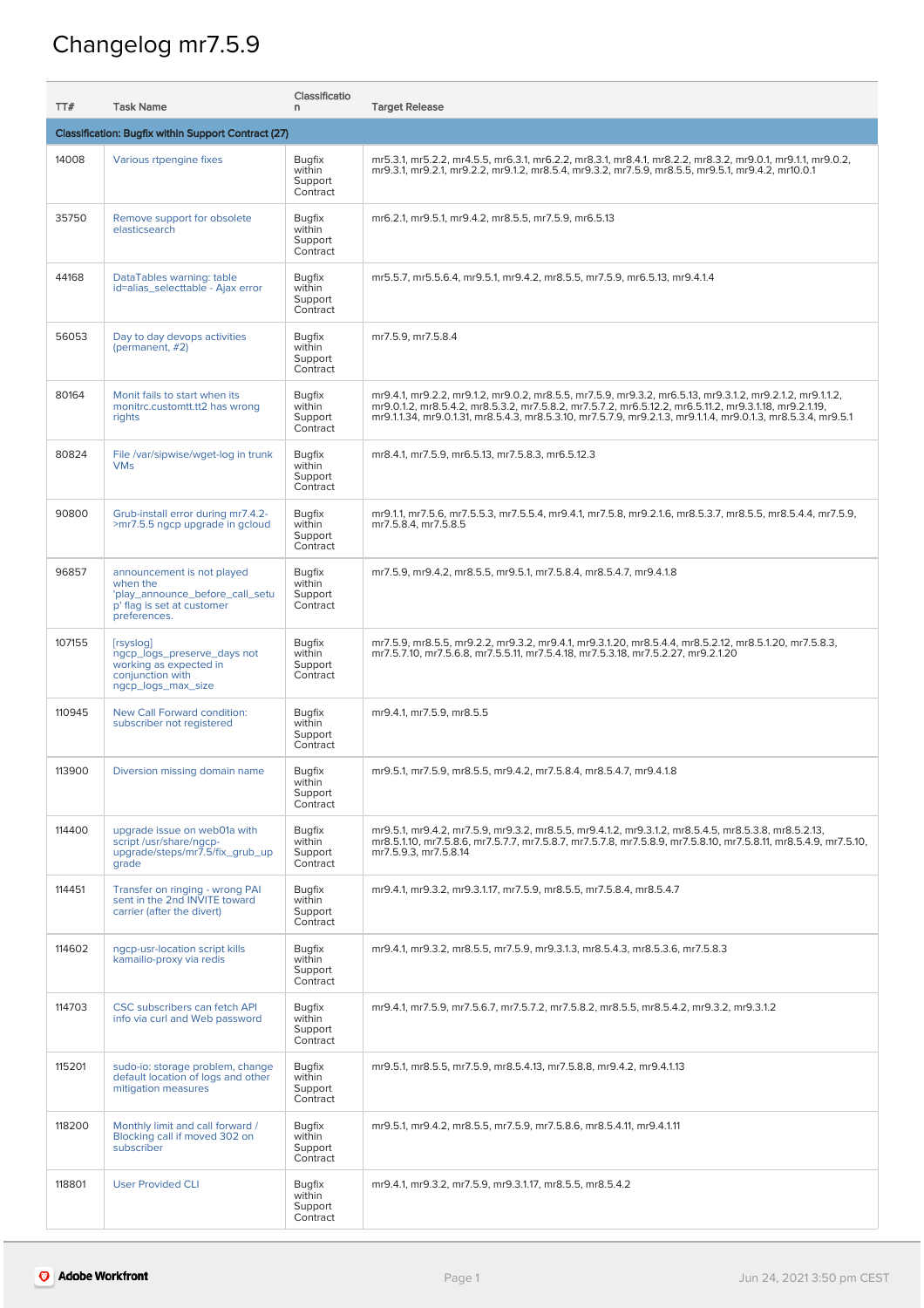## Changelog mr7.5.9

| TT#                                                 | <b>Task Name</b>                                                                                                        | Classificatio<br>n.                            | <b>Target Release</b>                                                                                                                                                                                                                                                                                                                |  |
|-----------------------------------------------------|-------------------------------------------------------------------------------------------------------------------------|------------------------------------------------|--------------------------------------------------------------------------------------------------------------------------------------------------------------------------------------------------------------------------------------------------------------------------------------------------------------------------------------|--|
| Classification: Bugfix within Support Contract (27) |                                                                                                                         |                                                |                                                                                                                                                                                                                                                                                                                                      |  |
| 14008                                               | Various rtpengine fixes                                                                                                 | <b>Bugfix</b><br>within<br>Support<br>Contract | mr5.3.1, mr5.2.2, mr4.5.5, mr6.3.1, mr6.2.2, mr8.3.1, mr8.4.1, mr8.2.2, mr8.3.2, mr9.0.1, mr9.1.1, mr9.0.2,<br>mr9.3.1, mr9.2.1, mr9.2.2, mr9.1.2, mr8.5.4, mr9.3.2, mr7.5.9, mr8.5.5, mr9.5.1, mr9.4.2, mr10.0.1                                                                                                                    |  |
| 35750                                               | Remove support for obsolete<br>elasticsearch                                                                            | <b>Bugfix</b><br>within<br>Support<br>Contract | mr6.2.1, mr9.5.1, mr9.4.2, mr8.5.5, mr7.5.9, mr6.5.13                                                                                                                                                                                                                                                                                |  |
| 44168                                               | DataTables warning: table<br>id=alias_selecttable - Ajax error                                                          | <b>Bugfix</b><br>within<br>Support<br>Contract | mr5.5.7, mr5.5.6.4, mr9.5.1, mr9.4.2, mr8.5.5, mr7.5.9, mr6.5.13, mr9.4.1.4                                                                                                                                                                                                                                                          |  |
| 56053                                               | Day to day devops activities<br>(permanent, #2)                                                                         | <b>Bugfix</b><br>within<br>Support<br>Contract | mr7.5.9, mr7.5.8.4                                                                                                                                                                                                                                                                                                                   |  |
| 80164                                               | Monit fails to start when its<br>monitrc.customtt.tt2 has wrong<br>rights                                               | <b>Bugfix</b><br>within<br>Support<br>Contract | mr9.4.1, mr9.2.2, mr9.1.2, mr9.0.2, mr8.5.5, mr7.5.9, mr9.3.2, mr6.5.13, mr9.3.1.2, mr9.2.1.2, mr9.1.1.2,<br>mr9.0.1.2, mr8.5.4.2, mr8.5.3.2, mr7.5.8.2, mr7.5.7.2, mr6.5.12.2, mr6.5.11.2, mr9.3.1.18, mr9.2.1.19,<br>mr9.1.1.34, mr9.0.1.31, mr8.5.4.3, mr8.5.3.10, mr7.5.7.9, mr9.2.1.3, mr9.1.1.4, mr9.0.1.3, mr8.5.3.4, mr9.5.1 |  |
| 80824                                               | File /var/sipwise/wget-log in trunk<br><b>VMs</b>                                                                       | <b>Bugfix</b><br>within<br>Support<br>Contract | mr8.4.1, mr7.5.9, mr6.5.13, mr7.5.8.3, mr6.5.12.3                                                                                                                                                                                                                                                                                    |  |
| 90800                                               | Grub-install error during mr7.4.2-<br>>mr7.5.5 ngcp upgrade in gcloud                                                   | <b>Bugfix</b><br>within<br>Support<br>Contract | mr9.1.1, mr7.5.6, mr7.5.5.3, mr7.5.5.4, mr9.4.1, mr7.5.8, mr9.2.1.6, mr8.5.3.7, mr8.5.5, mr8.5.4.4, mr7.5.9,<br>mr7.5.8.4, mr7.5.8.5                                                                                                                                                                                                 |  |
| 96857                                               | announcement is not played<br>when the<br>'play_announce_before_call_setu<br>p' flag is set at customer<br>preferences. | <b>Bugfix</b><br>within<br>Support<br>Contract | mr7.5.9, mr9.4.2, mr8.5.5, mr9.5.1, mr7.5.8.4, mr8.5.4.7, mr9.4.1.8                                                                                                                                                                                                                                                                  |  |
| 107155                                              | [rsyslog]<br>ngcp_logs_preserve_days not<br>working as expected in<br>conjunction with<br>ngcp_logs_max_size            | <b>Bugfix</b><br>within<br>Support<br>Contract | mr7.5.9, mr8.5.5, mr9.2.2, mr9.3.2, mr9.4.1, mr9.3.1.20, mr8.5.4.4, mr8.5.2.12, mr8.5.1.20, mr7.5.8.3,<br>mr7.5.7.10, mr7.5.6.8, mr7.5.5.11, mr7.5.4.18, mr7.5.3.18, mr7.5.2.27, mr9.2.1.20                                                                                                                                          |  |
| 110945                                              | New Call Forward condition:<br>subscriber not registered                                                                | <b>Bugfix</b><br>within<br>Support<br>Contract | mr9.4.1, mr7.5.9, mr8.5.5                                                                                                                                                                                                                                                                                                            |  |
| 113900                                              | Diversion missing domain name                                                                                           | <b>Bugfix</b><br>within<br>Support<br>Contract | mr9.5.1, mr7.5.9, mr8.5.5, mr9.4.2, mr7.5.8.4, mr8.5.4.7, mr9.4.1.8                                                                                                                                                                                                                                                                  |  |
| 114400                                              | upgrade issue on web01a with<br>script /usr/share/ngcp-<br>upgrade/steps/mr7.5/fix_grub_up<br>grade                     | <b>Bugfix</b><br>within<br>Support<br>Contract | mr9.5.1, mr9.4.2, mr7.5.9, mr9.3.2, mr8.5.5, mr9.4.1.2, mr9.3.1.2, mr8.5.4.5, mr8.5.3.8, mr8.5.2.13,<br>mr8.5.1.10, mr7.5.8.6, mr7.5.7.7, mr7.5.8.7, mr7.5.7.8, mr7.5.8.9, mr7.5.8.10, mr7.5.8.11, mr8.5.4.9, mr7.5.10,<br>mr7.5.9.3, mr7.5.8.14                                                                                     |  |
| 114451                                              | Transfer on ringing - wrong PAI<br>sent in the 2nd INVITE toward<br>carrier (after the divert)                          | <b>Bugfix</b><br>within<br>Support<br>Contract | mr9.4.1, mr9.3.2, mr9.3.1.17, mr7.5.9, mr8.5.5, mr7.5.8.4, mr8.5.4.7                                                                                                                                                                                                                                                                 |  |
| 114602                                              | ngcp-usr-location script kills<br>kamailio-proxy via redis                                                              | <b>Bugfix</b><br>within<br>Support<br>Contract | mr9.4.1, mr9.3.2, mr8.5.5, mr7.5.9, mr9.3.1.3, mr8.5.4.3, mr8.5.3.6, mr7.5.8.3                                                                                                                                                                                                                                                       |  |
| 114703                                              | CSC subscribers can fetch API<br>info via curl and Web password                                                         | <b>Bugfix</b><br>within<br>Support<br>Contract | mr9.4.1, mr7.5.9, mr7.5.6.7, mr7.5.7.2, mr7.5.8.2, mr8.5.5, mr8.5.4.2, mr9.3.2, mr9.3.1.2                                                                                                                                                                                                                                            |  |
| 115201                                              | sudo-io: storage problem, change<br>default location of logs and other<br>mitigation measures                           | <b>Bugfix</b><br>within<br>Support<br>Contract | mr9.5.1, mr8.5.5, mr7.5.9, mr8.5.4.13, mr7.5.8.8, mr9.4.2, mr9.4.1.13                                                                                                                                                                                                                                                                |  |
| 118200                                              | Monthly limit and call forward /<br>Blocking call if moved 302 on<br>subscriber                                         | <b>Bugfix</b><br>within<br>Support<br>Contract | mr9.5.1, mr9.4.2, mr8.5.5, mr7.5.9, mr7.5.8.6, mr8.5.4.11, mr9.4.1.11                                                                                                                                                                                                                                                                |  |
| 118801                                              | <b>User Provided CLI</b>                                                                                                | <b>Bugfix</b><br>within<br>Support<br>Contract | mr9.4.1, mr9.3.2, mr7.5.9, mr9.3.1.17, mr8.5.5, mr8.5.4.2                                                                                                                                                                                                                                                                            |  |